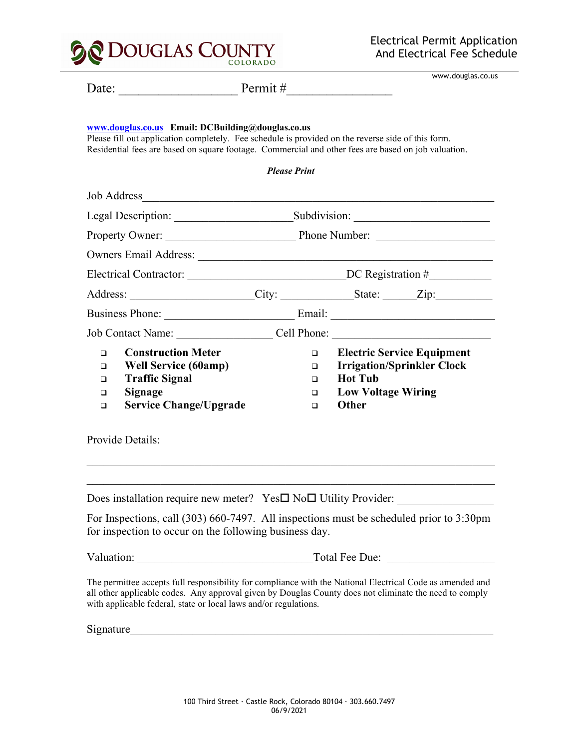

| Date:                                          |                                                                                                                                                         | Permit #                                                     | www.douglas.co.us                                                                                                                                                                                                   |
|------------------------------------------------|---------------------------------------------------------------------------------------------------------------------------------------------------------|--------------------------------------------------------------|---------------------------------------------------------------------------------------------------------------------------------------------------------------------------------------------------------------------|
|                                                | www.douglas.co.us Email: DCBuilding@douglas.co.us<br>Please fill out application completely. Fee schedule is provided on the reverse side of this form. | <b>Please Print</b>                                          | Residential fees are based on square footage. Commercial and other fees are based on job valuation.                                                                                                                 |
|                                                | <b>Job Address</b>                                                                                                                                      | <u> 1989 - Johann Barn, mars eta inperiodorea (h. 1989).</u> |                                                                                                                                                                                                                     |
|                                                |                                                                                                                                                         |                                                              |                                                                                                                                                                                                                     |
|                                                |                                                                                                                                                         |                                                              |                                                                                                                                                                                                                     |
|                                                |                                                                                                                                                         |                                                              |                                                                                                                                                                                                                     |
|                                                |                                                                                                                                                         |                                                              |                                                                                                                                                                                                                     |
|                                                |                                                                                                                                                         |                                                              | Address: _____________________City: _______________State: _______Zip:                                                                                                                                               |
|                                                |                                                                                                                                                         |                                                              | Business Phone: <u>Container and Email:</u> Container and Email:                                                                                                                                                    |
|                                                |                                                                                                                                                         |                                                              | Job Contact Name: Cell Phone: Cell Phone:                                                                                                                                                                           |
| $\Box$<br>$\Box$<br>$\Box$<br>$\Box$<br>$\Box$ | <b>Construction Meter</b><br><b>Well Service (60amp)</b><br><b>Traffic Signal</b><br><b>Signage</b><br><b>Service Change/Upgrade</b>                    | $\Box$<br>$\Box$<br>$\Box$<br>▫<br>$\Box$                    | <b>Electric Service Equipment</b><br><b>Irrigation/Sprinkler Clock</b><br><b>Hot Tub</b><br><b>Low Voltage Wiring</b><br>Other                                                                                      |
|                                                | Provide Details:                                                                                                                                        |                                                              |                                                                                                                                                                                                                     |
|                                                |                                                                                                                                                         |                                                              | Does installation require new meter? Yes <sup>INoI</sup> Utility Provider:                                                                                                                                          |
|                                                | for inspection to occur on the following business day.                                                                                                  |                                                              | For Inspections, call (303) 660-7497. All inspections must be scheduled prior to 3:30pm                                                                                                                             |
|                                                |                                                                                                                                                         |                                                              | Total Fee Due:                                                                                                                                                                                                      |
|                                                | with applicable federal, state or local laws and/or regulations.                                                                                        |                                                              | The permittee accepts full responsibility for compliance with the National Electrical Code as amended and<br>all other applicable codes. Any approval given by Douglas County does not eliminate the need to comply |

Signature\_\_\_\_\_\_\_\_\_\_\_\_\_\_\_\_\_\_\_\_\_\_\_\_\_\_\_\_\_\_\_\_\_\_\_\_\_\_\_\_\_\_\_\_\_\_\_\_\_\_\_\_\_\_\_\_\_\_\_\_\_\_\_\_